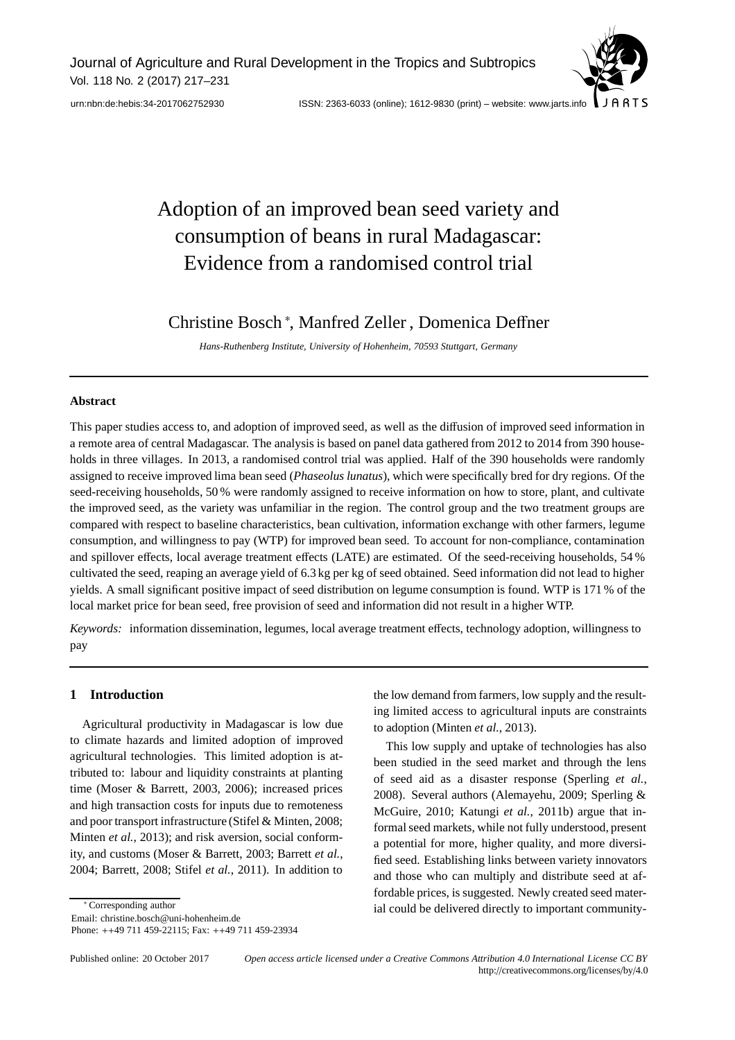Journal of Agriculture and Rural Development in the Tropics and Subtropics Vol. 118 No. 2 (2017) 217–231



[urn:nbn:de:hebis:34-2017062752930](http://nbn-resolving.de/urn:nbn:de:hebis:34-2017062752930) ISSN: 2363-6033 (online); 1612-9830 (print) – website: www.jarts.info

# Adoption of an improved bean seed variety and consumption of beans in rural Madagascar: Evidence from a randomised control trial

Christine Bosch <sup>∗</sup> , Manfred Zeller , Domenica Deffner

*Hans-Ruthenberg Institute, University of Hohenheim, 70593 Stuttgart, Germany*

## **Abstract**

This paper studies access to, and adoption of improved seed, as well as the diffusion of improved seed information in a remote area of central Madagascar. The analysis is based on panel data gathered from 2012 to 2014 from 390 households in three villages. In 2013, a randomised control trial was applied. Half of the 390 households were randomly assigned to receive improved lima bean seed (*Phaseolus lunatus*), which were specifically bred for dry regions. Of the seed-receiving households, 50 % were randomly assigned to receive information on how to store, plant, and cultivate the improved seed, as the variety was unfamiliar in the region. The control group and the two treatment groups are compared with respect to baseline characteristics, bean cultivation, information exchange with other farmers, legume consumption, and willingness to pay (WTP) for improved bean seed. To account for non-compliance, contamination and spillover effects, local average treatment effects (LATE) are estimated. Of the seed-receiving households, 54 % cultivated the seed, reaping an average yield of 6.3 kg per kg of seed obtained. Seed information did not lead to higher yields. A small significant positive impact of seed distribution on legume consumption is found. WTP is 171 % of the local market price for bean seed, free provision of seed and information did not result in a higher WTP.

*Keywords:* information dissemination, legumes, local average treatment effects, technology adoption, willingness to pay

# **1 Introduction**

Agricultural productivity in Madagascar is low due to climate hazards and limited adoption of improved agricultural technologies. This limited adoption is attributed to: labour and liquidity constraints at planting time (Moser & Barrett, 2003, 2006); increased prices and high transaction costs for inputs due to remoteness and poor transport infrastructure (Stifel & Minten, 2008; Minten *et al.*, 2013); and risk aversion, social conformity, and customs (Moser & Barrett, 2003; Barrett *et al.*, 2004; Barrett, 2008; Stifel *et al.*, 2011). In addition to

∗ Corresponding author

Email: christine.bosch@uni-hohenheim.de

Phone: ++49 711 459-22115; Fax: ++49 711 459-23934

the low demand from farmers, low supply and the resulting limited access to agricultural inputs are constraints to adoption (Minten *et al.*, 2013).

This low supply and uptake of technologies has also been studied in the seed market and through the lens of seed aid as a disaster response (Sperling *et al.*, 2008). Several authors (Alemayehu, 2009; Sperling & McGuire, 2010; Katungi *et al.*, 2011b) argue that informal seed markets, while not fully understood, present a potential for more, higher quality, and more diversified seed. Establishing links between variety innovators and those who can multiply and distribute seed at affordable prices, is suggested. Newly created seed material could be delivered directly to important community-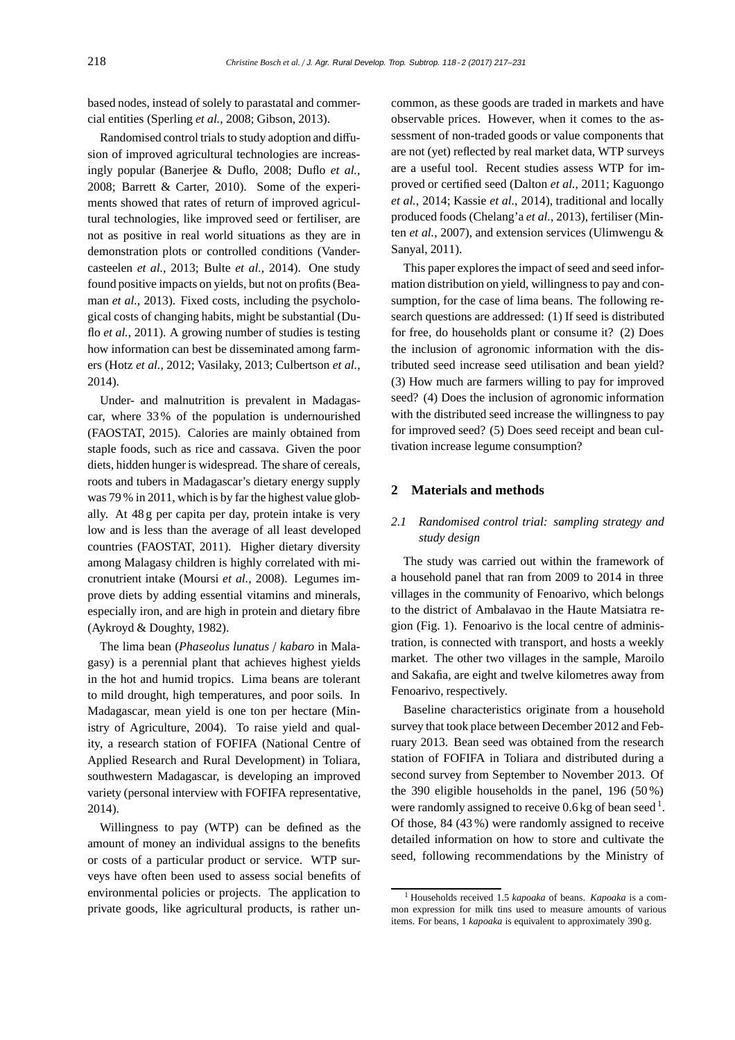based nodes, instead of solely to parastatal and commercial entities (Sperling *et al.*, 2008; Gibson, 2013).

Randomised control trials to study adoption and diffusion of improved agricultural technologies are increasingly popular (Banerjee & Duflo, 2008; Duflo *et al.*, 2008; Barrett & Carter, 2010). Some of the experiments showed that rates of return of improved agricultural technologies, like improved seed or fertiliser, are not as positive in real world situations as they are in demonstration plots or controlled conditions (Vandercasteelen *et al.*, 2013; Bulte *et al.*, 2014). One study found positive impacts on yields, but not on profits (Beaman *et al.*, 2013). Fixed costs, including the psychological costs of changing habits, might be substantial (Duflo *et al.*, 2011). A growing number of studies is testing how information can best be disseminated among farmers (Hotz *et al.*, 2012; Vasilaky, 2013; Culbertson *et al.*, 2014).

Under- and malnutrition is prevalent in Madagascar, where 33 % of the population is undernourished (FAOSTAT, 2015). Calories are mainly obtained from staple foods, such as rice and cassava. Given the poor diets, hidden hunger is widespread. The share of cereals, roots and tubers in Madagascar's dietary energy supply was 79 % in 2011, which is by far the highest value globally. At 48 g per capita per day, protein intake is very low and is less than the average of all least developed countries (FAOSTAT, 2011). Higher dietary diversity among Malagasy children is highly correlated with micronutrient intake (Moursi *et al.*, 2008). Legumes improve diets by adding essential vitamins and minerals, especially iron, and are high in protein and dietary fibre (Aykroyd & Doughty, 1982).

The lima bean (*Phaseolus lunatus* / *kabaro* in Malagasy) is a perennial plant that achieves highest yields in the hot and humid tropics. Lima beans are tolerant to mild drought, high temperatures, and poor soils. In Madagascar, mean yield is one ton per hectare (Ministry of Agriculture, 2004). To raise yield and quality, a research station of FOFIFA (National Centre of Applied Research and Rural Development) in Toliara, southwestern Madagascar, is developing an improved variety (personal interview with FOFIFA representative, 2014).

Willingness to pay (WTP) can be defined as the amount of money an individual assigns to the benefits or costs of a particular product or service. WTP surveys have often been used to assess social benefits of environmental policies or projects. The application to private goods, like agricultural products, is rather un-

common, as these goods are traded in markets and have observable prices. However, when it comes to the assessment of non-traded goods or value components that are not (yet) reflected by real market data, WTP surveys are a useful tool. Recent studies assess WTP for improved or certified seed (Dalton *et al.*, 2011; Kaguongo *et al.*, 2014; Kassie *et al.*, 2014), traditional and locally produced foods (Chelang'a *et al.*, 2013), fertiliser (Minten *et al.*, 2007), and extension services (Ulimwengu & Sanyal, 2011).

This paper explores the impact of seed and seed information distribution on yield, willingness to pay and consumption, for the case of lima beans. The following research questions are addressed: (1) If seed is distributed for free, do households plant or consume it? (2) Does the inclusion of agronomic information with the distributed seed increase seed utilisation and bean yield? (3) How much are farmers willing to pay for improved seed? (4) Does the inclusion of agronomic information with the distributed seed increase the willingness to pay for improved seed? (5) Does seed receipt and bean cultivation increase legume consumption?

## **2 Materials and methods**

# *2.1 Randomised control trial: sampling strategy and study design*

The study was carried out within the framework of a household panel that ran from 2009 to 2014 in three villages in the community of Fenoarivo, which belongs to the district of Ambalavao in the Haute Matsiatra region (Fig. 1). Fenoarivo is the local centre of administration, is connected with transport, and hosts a weekly market. The other two villages in the sample, Maroilo and Sakafia, are eight and twelve kilometres away from Fenoarivo, respectively.

Baseline characteristics originate from a household survey that took place between December 2012 and February 2013. Bean seed was obtained from the research station of FOFIFA in Toliara and distributed during a second survey from September to November 2013. Of the 390 eligible households in the panel, 196 (50 %) were randomly assigned to receive  $0.6 \text{ kg}$  of bean seed  $^1$ . Of those, 84 (43 %) were randomly assigned to receive detailed information on how to store and cultivate the seed, following recommendations by the Ministry of

<sup>1</sup> Households received 1.5 *kapoaka* of beans. *Kapoaka* is a common expression for milk tins used to measure amounts of various items. For beans, 1 *kapoaka* is equivalent to approximately 390 g.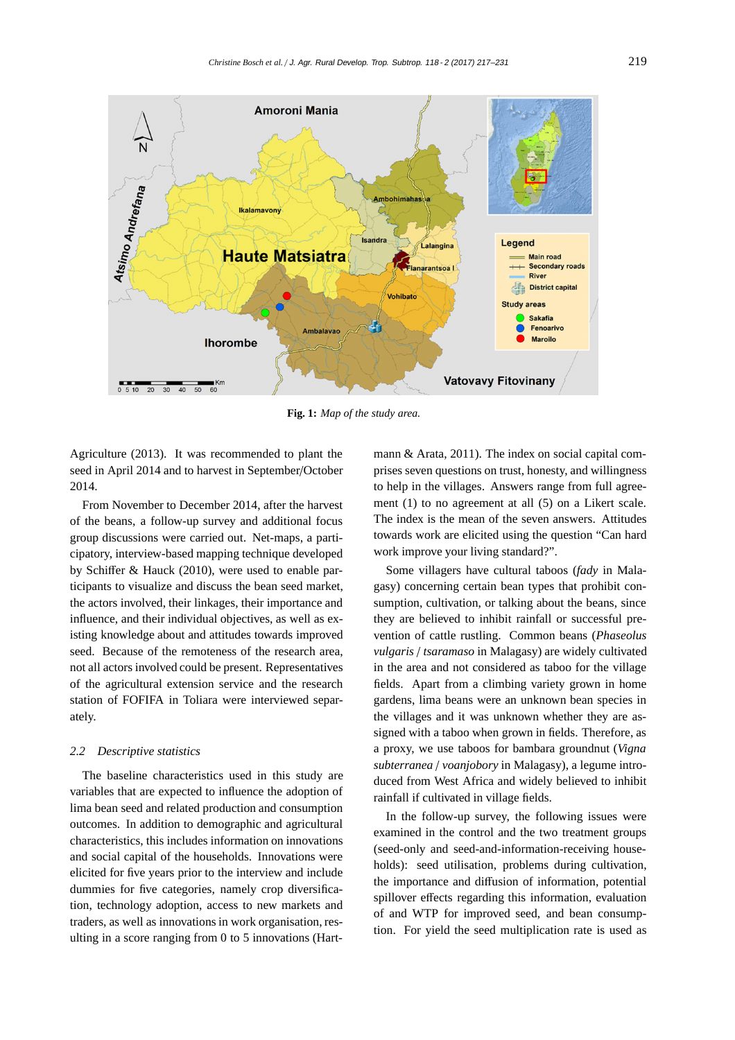

**Fig. 1:** *Map of the study area.*

Agriculture (2013). It was recommended to plant the seed in April 2014 and to harvest in September/October 2014.

From November to December 2014, after the harvest of the beans, a follow-up survey and additional focus group discussions were carried out. Net-maps, a participatory, interview-based mapping technique developed by Schiffer & Hauck (2010), were used to enable participants to visualize and discuss the bean seed market, the actors involved, their linkages, their importance and influence, and their individual objectives, as well as existing knowledge about and attitudes towards improved seed. Because of the remoteness of the research area, not all actors involved could be present. Representatives of the agricultural extension service and the research station of FOFIFA in Toliara were interviewed separately.

#### *2.2 Descriptive statistics*

The baseline characteristics used in this study are variables that are expected to influence the adoption of lima bean seed and related production and consumption outcomes. In addition to demographic and agricultural characteristics, this includes information on innovations and social capital of the households. Innovations were elicited for five years prior to the interview and include dummies for five categories, namely crop diversification, technology adoption, access to new markets and traders, as well as innovations in work organisation, resulting in a score ranging from 0 to 5 innovations (Hart-

mann & Arata, 2011). The index on social capital comprises seven questions on trust, honesty, and willingness to help in the villages. Answers range from full agreement (1) to no agreement at all (5) on a Likert scale. The index is the mean of the seven answers. Attitudes towards work are elicited using the question "Can hard work improve your living standard?".

Some villagers have cultural taboos (*fady* in Malagasy) concerning certain bean types that prohibit consumption, cultivation, or talking about the beans, since they are believed to inhibit rainfall or successful prevention of cattle rustling. Common beans (*Phaseolus vulgaris* / *tsaramaso* in Malagasy) are widely cultivated in the area and not considered as taboo for the village fields. Apart from a climbing variety grown in home gardens, lima beans were an unknown bean species in the villages and it was unknown whether they are assigned with a taboo when grown in fields. Therefore, as a proxy, we use taboos for bambara groundnut (*Vigna subterranea* / *voanjobory* in Malagasy), a legume introduced from West Africa and widely believed to inhibit rainfall if cultivated in village fields.

In the follow-up survey, the following issues were examined in the control and the two treatment groups (seed-only and seed-and-information-receiving households): seed utilisation, problems during cultivation, the importance and diffusion of information, potential spillover effects regarding this information, evaluation of and WTP for improved seed, and bean consumption. For yield the seed multiplication rate is used as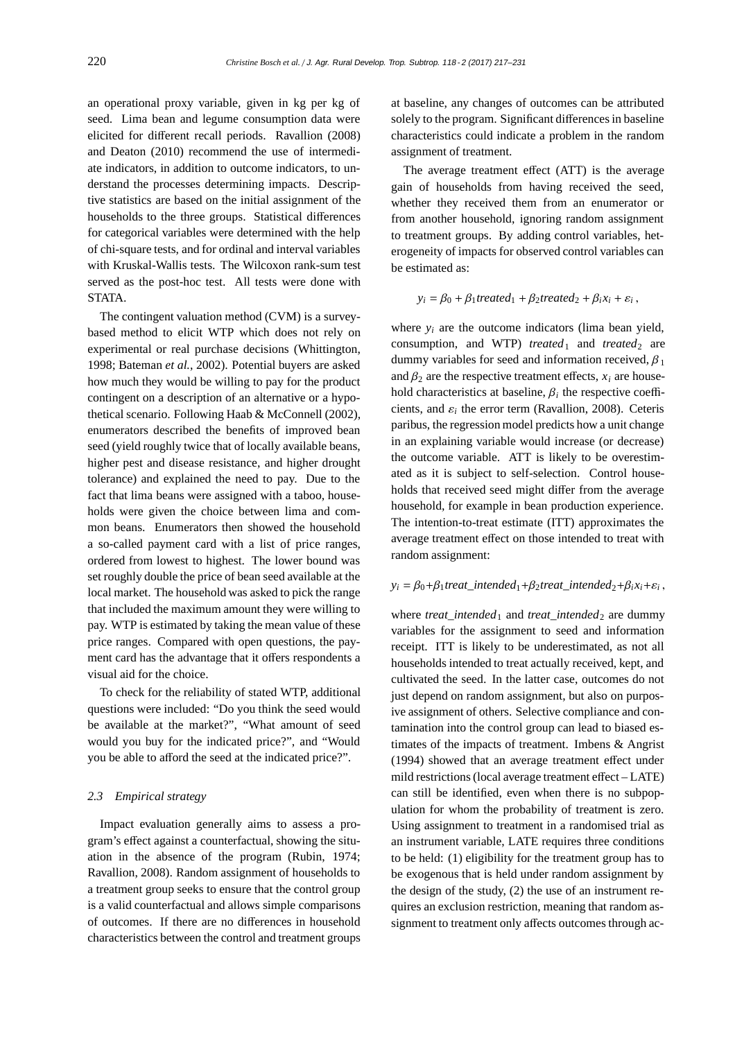an operational proxy variable, given in kg per kg of seed. Lima bean and legume consumption data were elicited for different recall periods. Ravallion (2008) and Deaton (2010) recommend the use of intermediate indicators, in addition to outcome indicators, to understand the processes determining impacts. Descriptive statistics are based on the initial assignment of the households to the three groups. Statistical differences for categorical variables were determined with the help of chi-square tests, and for ordinal and interval variables with Kruskal-Wallis tests. The Wilcoxon rank-sum test served as the post-hoc test. All tests were done with STATA.

The contingent valuation method (CVM) is a surveybased method to elicit WTP which does not rely on experimental or real purchase decisions (Whittington, 1998; Bateman *et al.*, 2002). Potential buyers are asked how much they would be willing to pay for the product contingent on a description of an alternative or a hypothetical scenario. Following Haab & McConnell (2002), enumerators described the benefits of improved bean seed (yield roughly twice that of locally available beans, higher pest and disease resistance, and higher drought tolerance) and explained the need to pay. Due to the fact that lima beans were assigned with a taboo, households were given the choice between lima and common beans. Enumerators then showed the household a so-called payment card with a list of price ranges, ordered from lowest to highest. The lower bound was set roughly double the price of bean seed available at the local market. The household was asked to pick the range that included the maximum amount they were willing to pay. WTP is estimated by taking the mean value of these price ranges. Compared with open questions, the payment card has the advantage that it offers respondents a visual aid for the choice.

To check for the reliability of stated WTP, additional questions were included: "Do you think the seed would be available at the market?", "What amount of seed would you buy for the indicated price?", and "Would you be able to afford the seed at the indicated price?".

#### *2.3 Empirical strategy*

Impact evaluation generally aims to assess a program's effect against a counterfactual, showing the situation in the absence of the program (Rubin, 1974; Ravallion, 2008). Random assignment of households to a treatment group seeks to ensure that the control group is a valid counterfactual and allows simple comparisons of outcomes. If there are no differences in household characteristics between the control and treatment groups

at baseline, any changes of outcomes can be attributed solely to the program. Significant differences in baseline characteristics could indicate a problem in the random assignment of treatment.

The average treatment effect (ATT) is the average gain of households from having received the seed, whether they received them from an enumerator or from another household, ignoring random assignment to treatment groups. By adding control variables, heterogeneity of impacts for observed control variables can be estimated as:

$$
y_i = \beta_0 + \beta_1 treated_1 + \beta_2 treated_2 + \beta_i x_i + \varepsilon_i,
$$

where  $y_i$  are the outcome indicators (lima bean yield, consumption, and WTP) *treated*<sub>1</sub> and *treated*<sub>2</sub> are dummy variables for seed and information received,  $\beta_1$ and  $\beta_2$  are the respective treatment effects,  $x_i$  are household characteristics at baseline,  $\beta_i$  the respective coefficients, and  $\varepsilon_i$  the error term (Ravallion, 2008). Ceteris paribus, the regression model predicts how a unit change in an explaining variable would increase (or decrease) the outcome variable. ATT is likely to be overestimated as it is subject to self-selection. Control households that received seed might differ from the average household, for example in bean production experience. The intention-to-treat estimate (ITT) approximates the average treatment effect on those intended to treat with random assignment:

#### $y_i = \beta_0 + \beta_1$ *treat\_intended*<sub>1</sub> +  $\beta_2$ *treat\_intended*<sub>2</sub> +  $\beta_i x_i$  +  $\varepsilon_i$ ,

where *treat\_intended*<sub>1</sub> and *treat\_intended*<sub>2</sub> are dummy variables for the assignment to seed and information receipt. ITT is likely to be underestimated, as not all households intended to treat actually received, kept, and cultivated the seed. In the latter case, outcomes do not just depend on random assignment, but also on purposive assignment of others. Selective compliance and contamination into the control group can lead to biased estimates of the impacts of treatment. Imbens & Angrist (1994) showed that an average treatment effect under mild restrictions (local average treatment effect – LATE) can still be identified, even when there is no subpopulation for whom the probability of treatment is zero. Using assignment to treatment in a randomised trial as an instrument variable, LATE requires three conditions to be held: (1) eligibility for the treatment group has to be exogenous that is held under random assignment by the design of the study, (2) the use of an instrument requires an exclusion restriction, meaning that random assignment to treatment only affects outcomes through ac-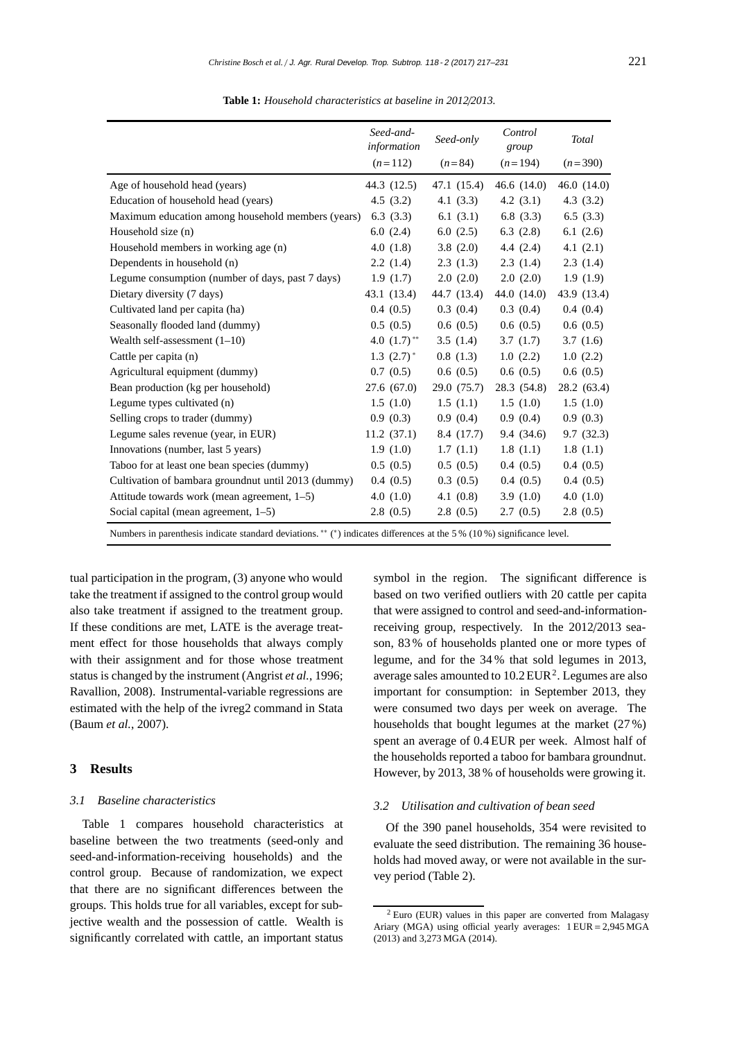|                                                     | Seed-and-<br>information   | Seed-only   | Control<br>group | <b>Total</b>  |
|-----------------------------------------------------|----------------------------|-------------|------------------|---------------|
|                                                     | $(n=112)$                  | $(n=84)$    | $(n=194)$        | $(n=390)$     |
| Age of household head (years)                       | 44.3 (12.5)                | 47.1 (15.4) | 46.6 $(14.0)$    | 46.0 $(14.0)$ |
| Education of household head (years)                 | 4.5(3.2)                   | 4.1(3.3)    | 4.2(3.1)         | 4.3(3.2)      |
| Maximum education among household members (years)   | 6.3(3.3)                   | 6.1 $(3.1)$ | 6.8(3.3)         | 6.5(3.3)      |
| Household size (n)                                  | 6.0(2.4)                   | 6.0(2.5)    | 6.3(2.8)         | 6.1(2.6)      |
| Household members in working age (n)                | 4.0(1.8)                   | 3.8(2.0)    | 4.4(2.4)         | 4.1(2.1)      |
| Dependents in household (n)                         | 2.2(1.4)                   | 2.3(1.3)    | 2.3(1.4)         | 2.3(1.4)      |
| Legume consumption (number of days, past 7 days)    | 1.9(1.7)                   | 2.0(2.0)    | 2.0(2.0)         | 1.9(1.9)      |
| Dietary diversity (7 days)                          | 43.1 (13.4)                | 44.7 (13.4) | 44.0 (14.0)      | 43.9 (13.4)   |
| Cultivated land per capita (ha)                     | 0.4(0.5)                   | 0.3(0.4)    | 0.3(0.4)         | 0.4(0.4)      |
| Seasonally flooded land (dummy)                     | 0.5(0.5)                   | 0.6(0.5)    | 0.6(0.5)         | 0.6(0.5)      |
| Wealth self-assessment $(1-10)$                     | 4.0 $(1.7)$ <sup>**</sup>  | 3.5(1.4)    | 3.7(1.7)         | 3.7(1.6)      |
| Cattle per capita (n)                               | $1.3$ $(2.7)$ <sup>*</sup> | 0.8(1.3)    | 1.0(2.2)         | 1.0(2.2)      |
| Agricultural equipment (dummy)                      | 0.7(0.5)                   | 0.6(0.5)    | 0.6(0.5)         | 0.6(0.5)      |
| Bean production (kg per household)                  | 27.6(67.0)                 | 29.0 (75.7) | 28.3 (54.8)      | 28.2 (63.4)   |
| Legume types cultivated (n)                         | 1.5(1.0)                   | 1.5(1.1)    | 1.5(1.0)         | 1.5(1.0)      |
| Selling crops to trader (dummy)                     | 0.9(0.3)                   | 0.9(0.4)    | 0.9(0.4)         | 0.9(0.3)      |
| Legume sales revenue (year, in EUR)                 | 11.2(37.1)                 | 8.4 (17.7)  | 9.4(34.6)        | 9.7(32.3)     |
| Innovations (number, last 5 years)                  | 1.9(1.0)                   | 1.7(1.1)    | 1.8(1.1)         | 1.8(1.1)      |
| Taboo for at least one bean species (dummy)         | 0.5(0.5)                   | 0.5(0.5)    | 0.4(0.5)         | 0.4(0.5)      |
| Cultivation of bambara groundnut until 2013 (dummy) | 0.4(0.5)                   | 0.3(0.5)    | 0.4(0.5)         | 0.4(0.5)      |
| Attitude towards work (mean agreement, 1–5)         | 4.0(1.0)                   | 4.1(0.8)    | 3.9(1.0)         | 4.0 $(1.0)$   |
| Social capital (mean agreement, $1-5$ )             | 2.8(0.5)                   | 2.8(0.5)    | 2.7(0.5)         | 2.8(0.5)      |
|                                                     |                            |             |                  |               |

**Table 1:** *Household characteristics at baseline in 2012*/*2013.*

Numbers in parenthesis indicate standard deviations. ∗∗ ( ∗) indicates differences at the 5 % (10 %) significance level.

tual participation in the program, (3) anyone who would take the treatment if assigned to the control group would also take treatment if assigned to the treatment group. If these conditions are met, LATE is the average treatment effect for those households that always comply with their assignment and for those whose treatment status is changed by the instrument (Angrist *et al.*, 1996; Ravallion, 2008). Instrumental-variable regressions are estimated with the help of the ivreg2 command in Stata (Baum *et al.*, 2007).

## **3 Results**

#### *3.1 Baseline characteristics*

Table 1 compares household characteristics at baseline between the two treatments (seed-only and seed-and-information-receiving households) and the control group. Because of randomization, we expect that there are no significant differences between the groups. This holds true for all variables, except for subjective wealth and the possession of cattle. Wealth is significantly correlated with cattle, an important status

symbol in the region. The significant difference is based on two verified outliers with 20 cattle per capita that were assigned to control and seed-and-informationreceiving group, respectively. In the 2012/2013 season, 83 % of households planted one or more types of legume, and for the 34 % that sold legumes in 2013, average sales amounted to  $10.2$  EUR<sup>2</sup>. Legumes are also important for consumption: in September 2013, they were consumed two days per week on average. The households that bought legumes at the market (27 %) spent an average of 0.4 EUR per week. Almost half of the households reported a taboo for bambara groundnut. However, by 2013, 38 % of households were growing it.

#### *3.2 Utilisation and cultivation of bean seed*

Of the 390 panel households, 354 were revisited to evaluate the seed distribution. The remaining 36 households had moved away, or were not available in the survey period (Table 2).

 $2$  Euro (EUR) values in this paper are converted from Malagasy Ariary (MGA) using official yearly averages: 1 EUR= 2,945 MGA (2013) and 3,273 MGA (2014).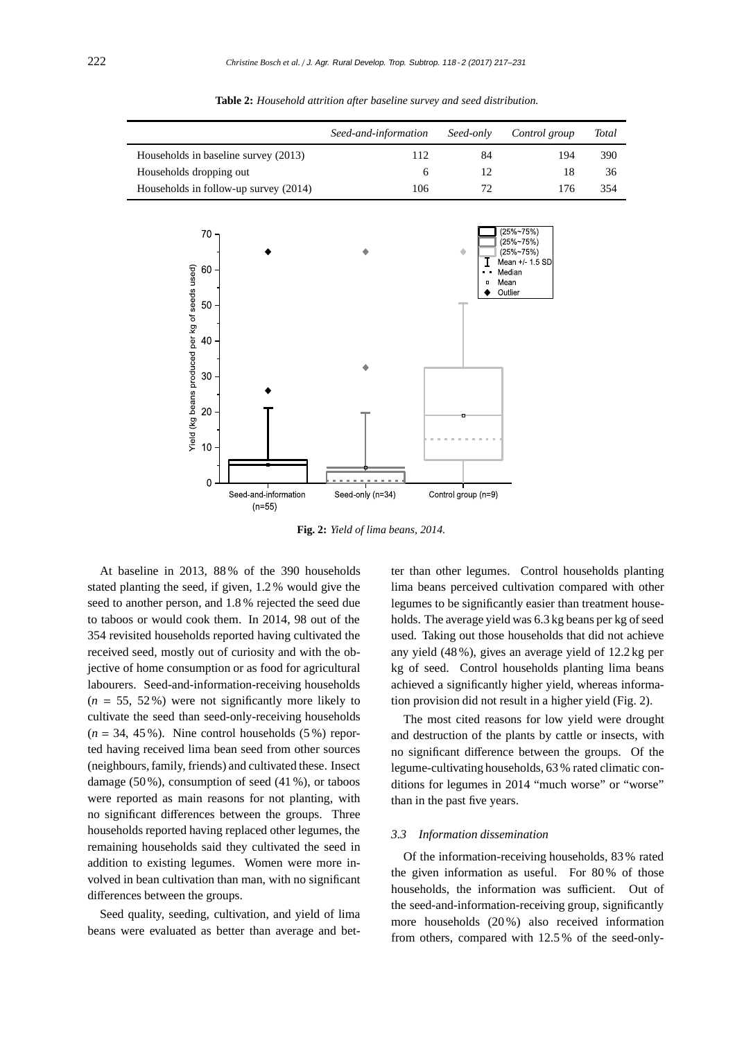|                                                                      |                                       | Seed-and-information |     | Seed-only           | Control group                                                                             | Total |
|----------------------------------------------------------------------|---------------------------------------|----------------------|-----|---------------------|-------------------------------------------------------------------------------------------|-------|
| Households in baseline survey (2013)                                 |                                       |                      | 112 | 84                  | 194                                                                                       | 390   |
| Households dropping out                                              |                                       |                      | 6   | 12                  | 18                                                                                        | 36    |
|                                                                      | Households in follow-up survey (2014) |                      | 106 | $72\,$              | 176                                                                                       | 354   |
| $70 -$<br>Yield (kg beans produced per kg of seeds used)<br>60<br>50 |                                       |                      |     | ٠<br>о              | $(25\%~75\%)$<br>(25%~75%)<br>$(25\%~75\%)$<br>Mean +/ 15 SD<br>Median<br>Mean<br>Outlier |       |
| 40<br>$30\,$                                                         |                                       |                      |     |                     |                                                                                           |       |
| $20 -$<br>$10 -$<br>$\overline{0}$                                   |                                       |                      |     |                     |                                                                                           |       |
|                                                                      | Seed-and-information<br>$(n=55)$      | Seed-only (n=34)     |     | Control group (n=9) |                                                                                           |       |

**Table 2:** *Household attrition after baseline survey and seed distribution.*

**Fig. 2:** *Yield of lima beans, 2014.*

At baseline in 2013, 88 % of the 390 households stated planting the seed, if given, 1.2 % would give the seed to another person, and 1.8 % rejected the seed due to taboos or would cook them. In 2014, 98 out of the 354 revisited households reported having cultivated the received seed, mostly out of curiosity and with the objective of home consumption or as food for agricultural labourers. Seed-and-information-receiving households  $(n = 55, 52\%)$  were not significantly more likely to cultivate the seed than seed-only-receiving households  $(n = 34, 45\%)$ . Nine control households  $(5\%)$  reported having received lima bean seed from other sources (neighbours, family, friends) and cultivated these. Insect damage (50 %), consumption of seed (41 %), or taboos were reported as main reasons for not planting, with no significant differences between the groups. Three households reported having replaced other legumes, the remaining households said they cultivated the seed in addition to existing legumes. Women were more involved in bean cultivation than man, with no significant differences between the groups.

Seed quality, seeding, cultivation, and yield of lima beans were evaluated as better than average and bet-

ter than other legumes. Control households planting lima beans perceived cultivation compared with other legumes to be significantly easier than treatment households. The average yield was 6.3 kg beans per kg of seed used. Taking out those households that did not achieve any yield (48 %), gives an average yield of 12.2 kg per kg of seed. Control households planting lima beans achieved a significantly higher yield, whereas information provision did not result in a higher yield (Fig. 2).

The most cited reasons for low yield were drought and destruction of the plants by cattle or insects, with no significant difference between the groups. Of the legume-cultivating households, 63 % rated climatic conditions for legumes in 2014 "much worse" or "worse" than in the past five years.

#### *3.3 Information dissemination*

Of the information-receiving households, 83 % rated the given information as useful. For 80 % of those households, the information was sufficient. Out of the seed-and-information-receiving group, significantly more households (20 %) also received information from others, compared with 12.5 % of the seed-only-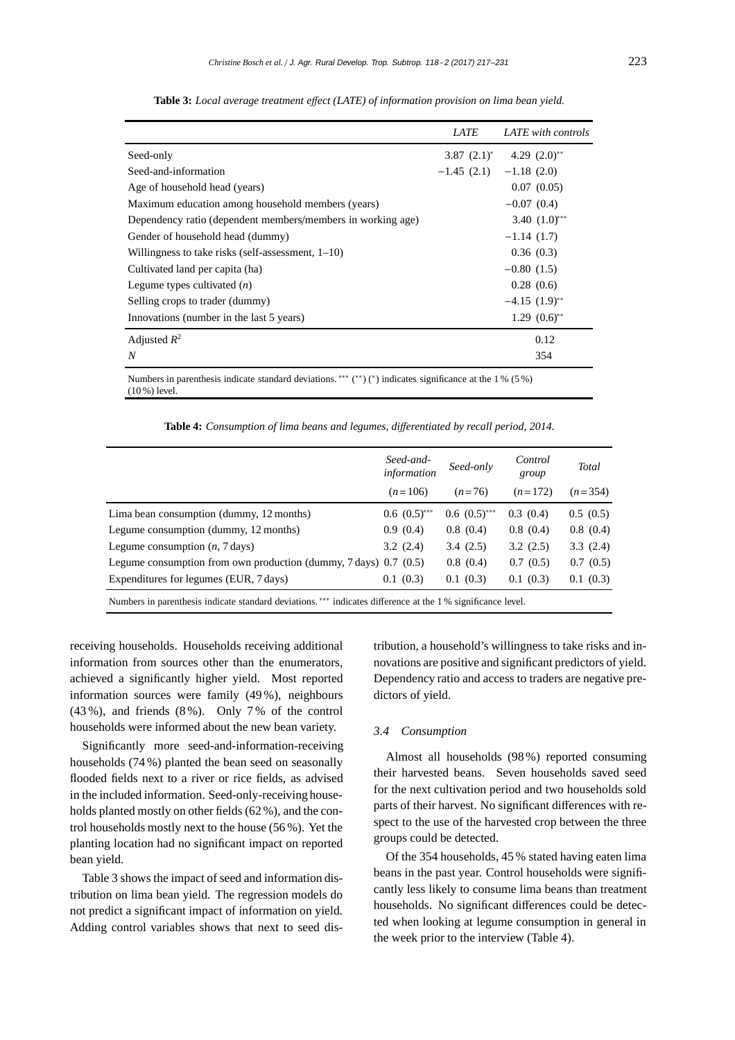|                                                                                                               | <i>LATE</i>                 | LATE with controls               |
|---------------------------------------------------------------------------------------------------------------|-----------------------------|----------------------------------|
| Seed-only                                                                                                     |                             | 3.87 $(2.1)^*$ 4.29 $(2.0)^{**}$ |
| Seed-and-information                                                                                          | $-1.45$ (2.1) $-1.18$ (2.0) |                                  |
| Age of household head (years)                                                                                 |                             | 0.07(0.05)                       |
| Maximum education among household members (years)                                                             |                             | $-0.07(0.4)$                     |
| Dependency ratio (dependent members/members in working age)                                                   |                             | 3.40 $(1.0)$ **                  |
| Gender of household head (dummy)                                                                              |                             | $-1.14(1.7)$                     |
| Willingness to take risks (self-assessment, $1-10$ )                                                          |                             | 0.36(0.3)                        |
| Cultivated land per capita (ha)                                                                               |                             | $-0.80(1.5)$                     |
| Legume types cultivated $(n)$                                                                                 |                             | 0.28(0.6)                        |
| Selling crops to trader (dummy)                                                                               |                             | $-4.15$ $(1.9)$ <sup>**</sup>    |
| Innovations (number in the last 5 years)                                                                      |                             | $1.29$ $(0.6)$ **                |
| Adjusted $R^2$                                                                                                |                             | 0.12                             |
| $\boldsymbol{N}$                                                                                              |                             | 354                              |
| Numbers in parenthesis indicate standard deviations. *** $(**)$ $(*)$ indicates significance at the 1 % (5 %) |                             |                                  |

**Table 3:** *Local average treatment e*ff*ect (LATE) of information provision on lima bean yield.*

Numbers in parenthesis indicate standard deviations. ∗∗∗ ( ∗∗) (∗) indicates significance at the 1 % (5 %) (10 %) level.

**Table 4:** *Consumption of lima beans and legumes, di*ff*erentiated by recall period, 2014.*

|                                                                                                                                                                                                                                                                                                                                                                                                                              | Seed-and-<br>information | Seed-only      | Control<br>group | <b>Total</b> |
|------------------------------------------------------------------------------------------------------------------------------------------------------------------------------------------------------------------------------------------------------------------------------------------------------------------------------------------------------------------------------------------------------------------------------|--------------------------|----------------|------------------|--------------|
|                                                                                                                                                                                                                                                                                                                                                                                                                              | $(n=106)$                | $(n=76)$       | $(n=172)$        | $(n=354)$    |
| Lima bean consumption (dummy, 12 months)                                                                                                                                                                                                                                                                                                                                                                                     | $0.6~(0.5)$ ***          | $0.6(0.5)$ *** | 0.3(0.4)         | 0.5(0.5)     |
| Legume consumption (dummy, 12 months)                                                                                                                                                                                                                                                                                                                                                                                        | 0.9(0.4)                 | 0.8(0.4)       | 0.8(0.4)         | 0.8(0.4)     |
| Legume consumption $(n, 7 \text{ days})$                                                                                                                                                                                                                                                                                                                                                                                     | 3.2(2.4)                 | 3.4(2.5)       | 3.2(2.5)         | 3.3(2.4)     |
| Legume consumption from own production (dummy, $7 \text{ days}$ ) 0.7 (0.5)                                                                                                                                                                                                                                                                                                                                                  |                          | 0.8(0.4)       | 0.7(0.5)         | 0.7(0.5)     |
| Expenditures for legumes (EUR, 7 days)                                                                                                                                                                                                                                                                                                                                                                                       | 0.1(0.3)                 | 0.1(0.3)       | 0.1(0.3)         | 0.1(0.3)     |
| $\mathbf{M} = \mathbf{1} + \mathbf{1} + \mathbf{1} + \mathbf{1} + \mathbf{1} + \mathbf{1} + \mathbf{1} + \mathbf{1} + \mathbf{1} + \mathbf{1} + \mathbf{1} + \mathbf{1} + \mathbf{1} + \mathbf{1} + \mathbf{1} + \mathbf{1} + \mathbf{1} + \mathbf{1} + \mathbf{1} + \mathbf{1} + \mathbf{1} + \mathbf{1} + \mathbf{1} + \mathbf{1} + \mathbf{1} + \mathbf{1} + \mathbf{1} + \mathbf{1} + \mathbf{1} + \mathbf{1} + \mathbf$ |                          |                |                  |              |

Numbers in parenthesis indicate standard deviations. ∗∗∗ indicates difference at the 1 % significance level.

receiving households. Households receiving additional information from sources other than the enumerators, achieved a significantly higher yield. Most reported information sources were family (49 %), neighbours (43 %), and friends (8 %). Only 7 % of the control households were informed about the new bean variety.

Significantly more seed-and-information-receiving households (74 %) planted the bean seed on seasonally flooded fields next to a river or rice fields, as advised in the included information. Seed-only-receiving households planted mostly on other fields (62 %), and the control households mostly next to the house (56 %). Yet the planting location had no significant impact on reported bean yield.

Table 3 shows the impact of seed and information distribution on lima bean yield. The regression models do not predict a significant impact of information on yield. Adding control variables shows that next to seed distribution, a household's willingness to take risks and innovations are positive and significant predictors of yield. Dependency ratio and access to traders are negative predictors of yield.

#### *3.4 Consumption*

Almost all households (98 %) reported consuming their harvested beans. Seven households saved seed for the next cultivation period and two households sold parts of their harvest. No significant differences with respect to the use of the harvested crop between the three groups could be detected.

Of the 354 households, 45 % stated having eaten lima beans in the past year. Control households were significantly less likely to consume lima beans than treatment households. No significant differences could be detected when looking at legume consumption in general in the week prior to the interview (Table 4).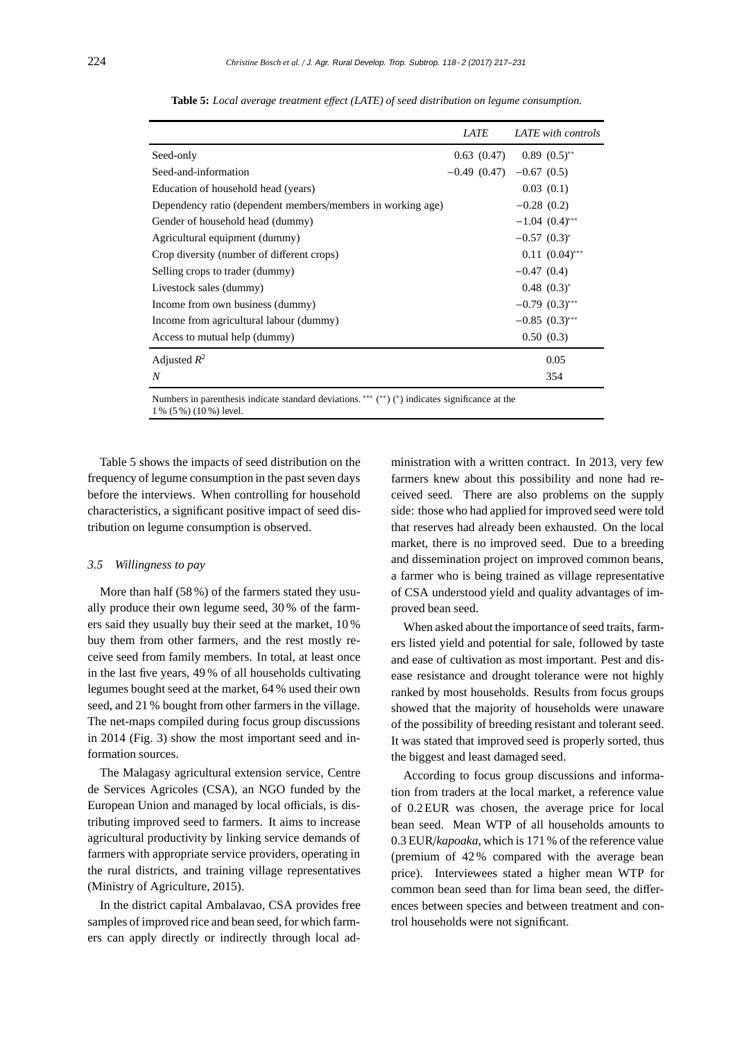|                                                                                                 | <i>LATE</i>                  |                     | LATE with controls |
|-------------------------------------------------------------------------------------------------|------------------------------|---------------------|--------------------|
| Seed-only                                                                                       | 0.63(0.47)                   | $0.89(0.5)$ **      |                    |
| Seed-and-information                                                                            | $-0.49$ (0.47) $-0.67$ (0.5) |                     |                    |
| Education of household head (years)                                                             |                              | 0.03(0.1)           |                    |
| Dependency ratio (dependent members/members in working age)                                     |                              | $-0.28(0.2)$        |                    |
| Gender of household head (dummy)                                                                |                              | $-1.04$ $(0.4)$ *** |                    |
| Agricultural equipment (dummy)                                                                  |                              | $-0.57$ $(0.3)^*$   |                    |
| Crop diversity (number of different crops)                                                      |                              |                     | $0.11 (0.04)$ ***  |
| Selling crops to trader (dummy)                                                                 |                              | $-0.47(0.4)$        |                    |
| Livestock sales (dummy)                                                                         |                              | $0.48$ $(0.3)^{*}$  |                    |
| Income from own business (dummy)                                                                |                              | $-0.79$ $(0.3)$ *** |                    |
| Income from agricultural labour (dummy)                                                         |                              | $-0.85$ $(0.3)$ *** |                    |
| Access to mutual help (dummy)                                                                   |                              | 0.50(0.3)           |                    |
| Adjusted $R^2$                                                                                  |                              |                     | 0.05               |
| $\boldsymbol{N}$                                                                                |                              |                     | 354                |
| Numbers in perceptionic indicate standard deviations *** (**) (*) indicates significance at the |                              |                     |                    |

**Table 5:** *Local average treatment e*ff*ect (LATE) of seed distribution on legume consumption.*

Numbers in parenthesis indicate standard deviations. ∗∗∗ ( ∗∗) (∗) indicates significance at the 1 % (5 %) (10 %) level.

Table 5 shows the impacts of seed distribution on the frequency of legume consumption in the past seven days before the interviews. When controlling for household characteristics, a significant positive impact of seed distribution on legume consumption is observed.

## *3.5 Willingness to pay*

More than half (58 %) of the farmers stated they usually produce their own legume seed, 30 % of the farmers said they usually buy their seed at the market, 10 % buy them from other farmers, and the rest mostly receive seed from family members. In total, at least once in the last five years, 49 % of all households cultivating legumes bought seed at the market, 64 % used their own seed, and 21 % bought from other farmers in the village. The net-maps compiled during focus group discussions in 2014 (Fig. 3) show the most important seed and information sources.

The Malagasy agricultural extension service, Centre de Services Agricoles (CSA), an NGO funded by the European Union and managed by local officials, is distributing improved seed to farmers. It aims to increase agricultural productivity by linking service demands of farmers with appropriate service providers, operating in the rural districts, and training village representatives (Ministry of Agriculture, 2015).

In the district capital Ambalavao, CSA provides free samples of improved rice and bean seed, for which farmers can apply directly or indirectly through local administration with a written contract. In 2013, very few farmers knew about this possibility and none had received seed. There are also problems on the supply side: those who had applied for improved seed were told that reserves had already been exhausted. On the local market, there is no improved seed. Due to a breeding and dissemination project on improved common beans, a farmer who is being trained as village representative of CSA understood yield and quality advantages of improved bean seed.

When asked about the importance of seed traits, farmers listed yield and potential for sale, followed by taste and ease of cultivation as most important. Pest and disease resistance and drought tolerance were not highly ranked by most households. Results from focus groups showed that the majority of households were unaware of the possibility of breeding resistant and tolerant seed. It was stated that improved seed is properly sorted, thus the biggest and least damaged seed.

According to focus group discussions and information from traders at the local market, a reference value of 0.2 EUR was chosen, the average price for local bean seed. Mean WTP of all households amounts to 0.3 EUR/*kapoaka*, which is 171 % of the reference value (premium of 42 % compared with the average bean price). Interviewees stated a higher mean WTP for common bean seed than for lima bean seed, the differences between species and between treatment and control households were not significant.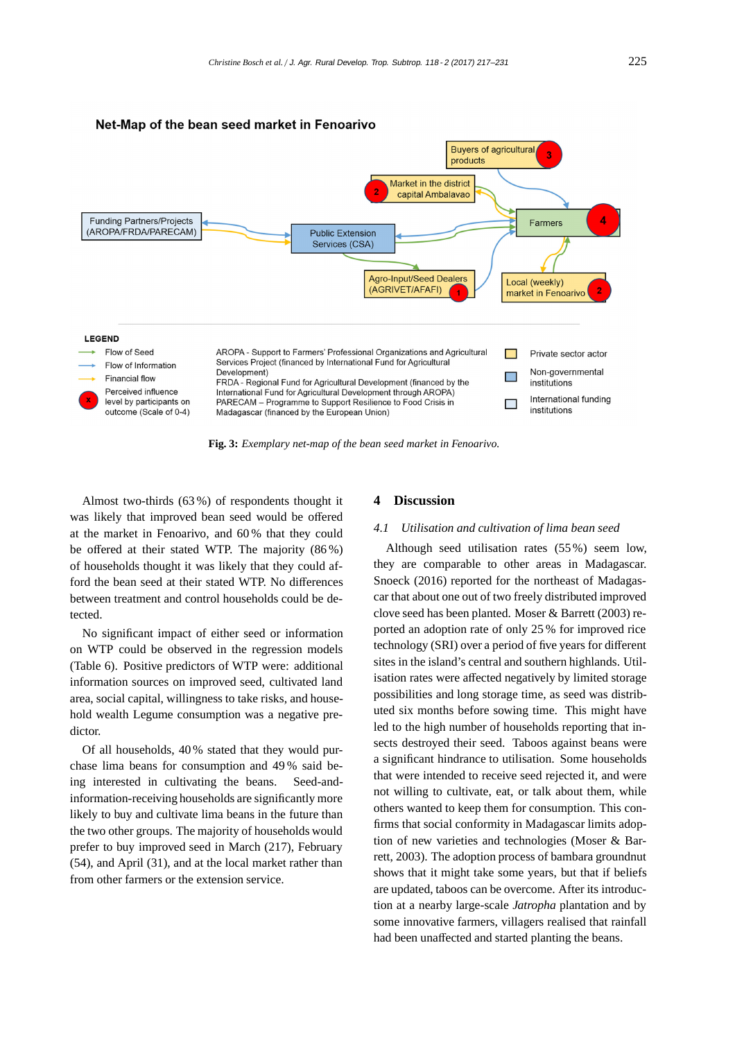

**Fig. 3:** *Exemplary net-map of the bean seed market in Fenoarivo.*

Almost two-thirds (63 %) of respondents thought it was likely that improved bean seed would be offered at the market in Fenoarivo, and 60 % that they could be offered at their stated WTP. The majority (86 %) of households thought it was likely that they could afford the bean seed at their stated WTP. No differences between treatment and control households could be detected.

No significant impact of either seed or information on WTP could be observed in the regression models (Table 6). Positive predictors of WTP were: additional information sources on improved seed, cultivated land area, social capital, willingness to take risks, and household wealth Legume consumption was a negative predictor.

Of all households, 40 % stated that they would purchase lima beans for consumption and 49 % said being interested in cultivating the beans. Seed-andinformation-receiving households are significantly more likely to buy and cultivate lima beans in the future than the two other groups. The majority of households would prefer to buy improved seed in March (217), February (54), and April (31), and at the local market rather than from other farmers or the extension service.

# **4 Discussion**

#### *4.1 Utilisation and cultivation of lima bean seed*

Although seed utilisation rates (55 %) seem low, they are comparable to other areas in Madagascar. Snoeck (2016) reported for the northeast of Madagascar that about one out of two freely distributed improved clove seed has been planted. Moser & Barrett (2003) reported an adoption rate of only 25 % for improved rice technology (SRI) over a period of five years for different sites in the island's central and southern highlands. Utilisation rates were affected negatively by limited storage possibilities and long storage time, as seed was distributed six months before sowing time. This might have led to the high number of households reporting that insects destroyed their seed. Taboos against beans were a significant hindrance to utilisation. Some households that were intended to receive seed rejected it, and were not willing to cultivate, eat, or talk about them, while others wanted to keep them for consumption. This confirms that social conformity in Madagascar limits adoption of new varieties and technologies (Moser & Barrett, 2003). The adoption process of bambara groundnut shows that it might take some years, but that if beliefs are updated, taboos can be overcome. After its introduction at a nearby large-scale *Jatropha* plantation and by some innovative farmers, villagers realised that rainfall had been unaffected and started planting the beans.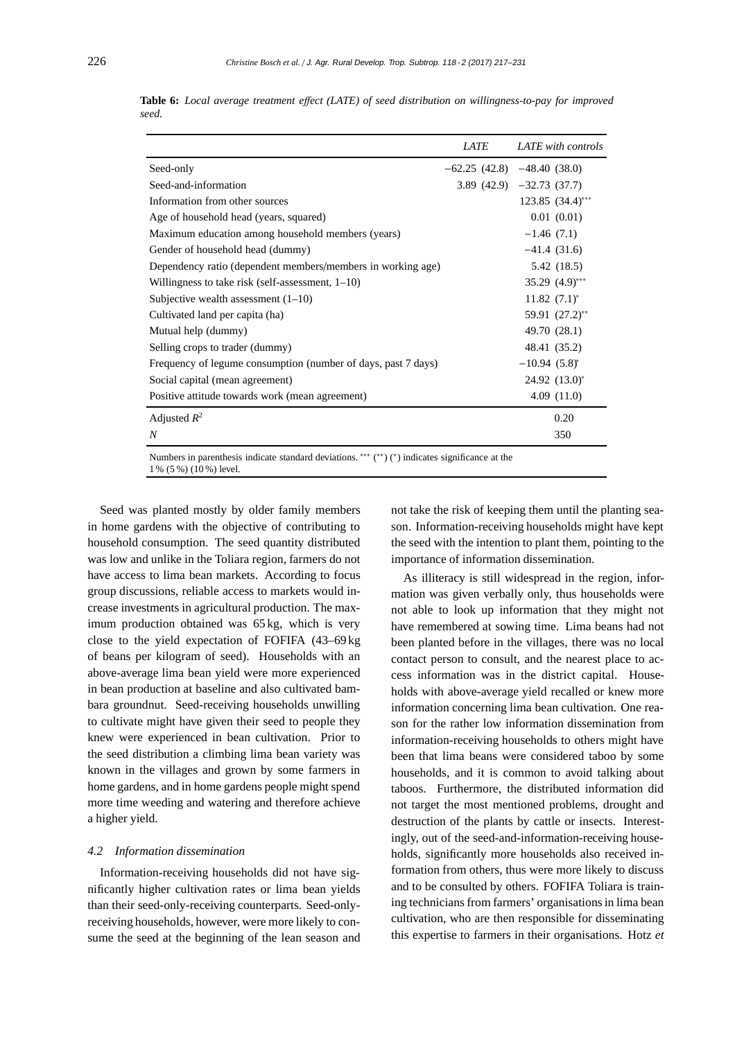|                                                                                                                                   | <b>LATE</b> | LATE with controls            |
|-----------------------------------------------------------------------------------------------------------------------------------|-------------|-------------------------------|
| Seed-only                                                                                                                         |             | $-62.25(42.8)$ $-48.40(38.0)$ |
| Seed-and-information                                                                                                              |             | $3.89(42.9) -32.73(37.7)$     |
| Information from other sources                                                                                                    |             | $123.85$ $(34.4)***$          |
| Age of household head (years, squared)                                                                                            |             | 0.01(0.01)                    |
| Maximum education among household members (years)                                                                                 |             | $-1.46(7.1)$                  |
| Gender of household head (dummy)                                                                                                  |             | $-41.4(31.6)$                 |
| Dependency ratio (dependent members/members in working age)                                                                       |             | 5.42 (18.5)                   |
| Willingness to take risk (self-assessment, $1-10$ )                                                                               |             | $35.29$ $(4.9)$ ***           |
| Subjective wealth assessment $(1-10)$                                                                                             |             | $11.82 (7.1)^*$               |
| Cultivated land per capita (ha)                                                                                                   |             | 59.91 (27.2)**                |
| Mutual help (dummy)                                                                                                               |             | 49.70 (28.1)                  |
| Selling crops to trader (dummy)                                                                                                   |             | 48.41 (35.2)                  |
| Frequency of legume consumption (number of days, past 7 days)                                                                     |             | $-10.94(5.8)^{*}$             |
| Social capital (mean agreement)                                                                                                   |             | 24.92 (13.0)*                 |
| Positive attitude towards work (mean agreement)                                                                                   |             | 4.09(11.0)                    |
| Adjusted $R^2$                                                                                                                    |             | 0.20                          |
| $\boldsymbol{N}$                                                                                                                  |             | 350                           |
| Numbers in parenthesis indicate standard deviations. *** $(*^*)$ $(*)$ indicates significance at the<br>$1\%$ (5 %) (10 %) level. |             |                               |

**Table 6:** *Local average treatment e*ff*ect (LATE) of seed distribution on willingness-to-pay for improved seed.*

Seed was planted mostly by older family members in home gardens with the objective of contributing to household consumption. The seed quantity distributed was low and unlike in the Toliara region, farmers do not have access to lima bean markets. According to focus group discussions, reliable access to markets would increase investments in agricultural production. The maximum production obtained was 65 kg, which is very close to the yield expectation of FOFIFA (43–69 kg of beans per kilogram of seed). Households with an above-average lima bean yield were more experienced in bean production at baseline and also cultivated bambara groundnut. Seed-receiving households unwilling to cultivate might have given their seed to people they knew were experienced in bean cultivation. Prior to the seed distribution a climbing lima bean variety was known in the villages and grown by some farmers in home gardens, and in home gardens people might spend more time weeding and watering and therefore achieve a higher yield.

#### *4.2 Information dissemination*

Information-receiving households did not have significantly higher cultivation rates or lima bean yields than their seed-only-receiving counterparts. Seed-onlyreceiving households, however, were more likely to consume the seed at the beginning of the lean season and not take the risk of keeping them until the planting season. Information-receiving households might have kept the seed with the intention to plant them, pointing to the importance of information dissemination.

As illiteracy is still widespread in the region, information was given verbally only, thus households were not able to look up information that they might not have remembered at sowing time. Lima beans had not been planted before in the villages, there was no local contact person to consult, and the nearest place to access information was in the district capital. Households with above-average yield recalled or knew more information concerning lima bean cultivation. One reason for the rather low information dissemination from information-receiving households to others might have been that lima beans were considered taboo by some households, and it is common to avoid talking about taboos. Furthermore, the distributed information did not target the most mentioned problems, drought and destruction of the plants by cattle or insects. Interestingly, out of the seed-and-information-receiving households, significantly more households also received information from others, thus were more likely to discuss and to be consulted by others. FOFIFA Toliara is training technicians from farmers' organisations in lima bean cultivation, who are then responsible for disseminating this expertise to farmers in their organisations. Hotz *et*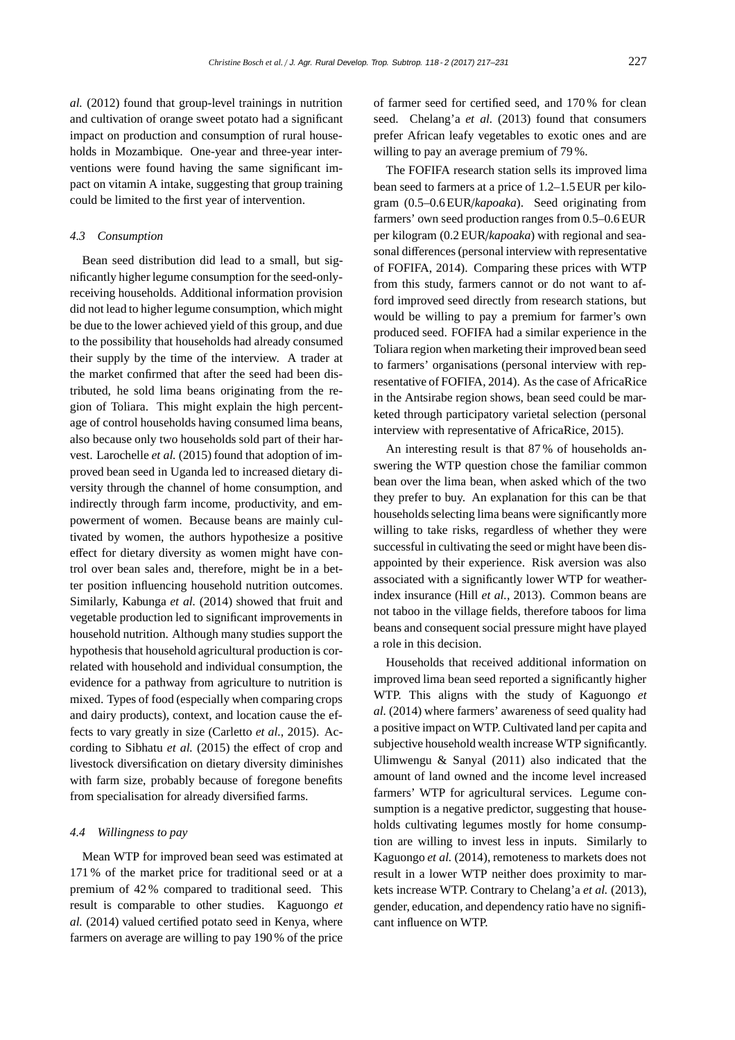*al.* (2012) found that group-level trainings in nutrition and cultivation of orange sweet potato had a significant impact on production and consumption of rural households in Mozambique. One-year and three-year interventions were found having the same significant impact on vitamin A intake, suggesting that group training could be limited to the first year of intervention.

#### *4.3 Consumption*

Bean seed distribution did lead to a small, but significantly higher legume consumption for the seed-onlyreceiving households. Additional information provision did not lead to higher legume consumption, which might be due to the lower achieved yield of this group, and due to the possibility that households had already consumed their supply by the time of the interview. A trader at the market confirmed that after the seed had been distributed, he sold lima beans originating from the region of Toliara. This might explain the high percentage of control households having consumed lima beans, also because only two households sold part of their harvest. Larochelle *et al.* (2015) found that adoption of improved bean seed in Uganda led to increased dietary diversity through the channel of home consumption, and indirectly through farm income, productivity, and empowerment of women. Because beans are mainly cultivated by women, the authors hypothesize a positive effect for dietary diversity as women might have control over bean sales and, therefore, might be in a better position influencing household nutrition outcomes. Similarly, Kabunga *et al.* (2014) showed that fruit and vegetable production led to significant improvements in household nutrition. Although many studies support the hypothesis that household agricultural production is correlated with household and individual consumption, the evidence for a pathway from agriculture to nutrition is mixed. Types of food (especially when comparing crops and dairy products), context, and location cause the effects to vary greatly in size (Carletto *et al.*, 2015). According to Sibhatu *et al.* (2015) the effect of crop and livestock diversification on dietary diversity diminishes with farm size, probably because of foregone benefits from specialisation for already diversified farms.

#### *4.4 Willingness to pay*

Mean WTP for improved bean seed was estimated at 171 % of the market price for traditional seed or at a premium of 42 % compared to traditional seed. This result is comparable to other studies. Kaguongo *et al.* (2014) valued certified potato seed in Kenya, where farmers on average are willing to pay 190 % of the price

of farmer seed for certified seed, and 170 % for clean seed. Chelang'a *et al.* (2013) found that consumers prefer African leafy vegetables to exotic ones and are willing to pay an average premium of 79 %.

The FOFIFA research station sells its improved lima bean seed to farmers at a price of 1.2–1.5EUR per kilogram (0.5–0.6 EUR/*kapoaka*). Seed originating from farmers' own seed production ranges from 0.5–0.6 EUR per kilogram (0.2 EUR/*kapoaka*) with regional and seasonal differences (personal interview with representative of FOFIFA, 2014). Comparing these prices with WTP from this study, farmers cannot or do not want to afford improved seed directly from research stations, but would be willing to pay a premium for farmer's own produced seed. FOFIFA had a similar experience in the Toliara region when marketing their improved bean seed to farmers' organisations (personal interview with representative of FOFIFA, 2014). As the case of AfricaRice in the Antsirabe region shows, bean seed could be marketed through participatory varietal selection (personal interview with representative of AfricaRice, 2015).

An interesting result is that 87 % of households answering the WTP question chose the familiar common bean over the lima bean, when asked which of the two they prefer to buy. An explanation for this can be that households selecting lima beans were significantly more willing to take risks, regardless of whether they were successful in cultivating the seed or might have been disappointed by their experience. Risk aversion was also associated with a significantly lower WTP for weatherindex insurance (Hill *et al.*, 2013). Common beans are not taboo in the village fields, therefore taboos for lima beans and consequent social pressure might have played a role in this decision.

Households that received additional information on improved lima bean seed reported a significantly higher WTP. This aligns with the study of Kaguongo *et al.* (2014) where farmers' awareness of seed quality had a positive impact on WTP. Cultivated land per capita and subjective household wealth increase WTP significantly. Ulimwengu & Sanyal (2011) also indicated that the amount of land owned and the income level increased farmers' WTP for agricultural services. Legume consumption is a negative predictor, suggesting that households cultivating legumes mostly for home consumption are willing to invest less in inputs. Similarly to Kaguongo *et al.* (2014), remoteness to markets does not result in a lower WTP neither does proximity to markets increase WTP. Contrary to Chelang'a *et al.* (2013), gender, education, and dependency ratio have no significant influence on WTP.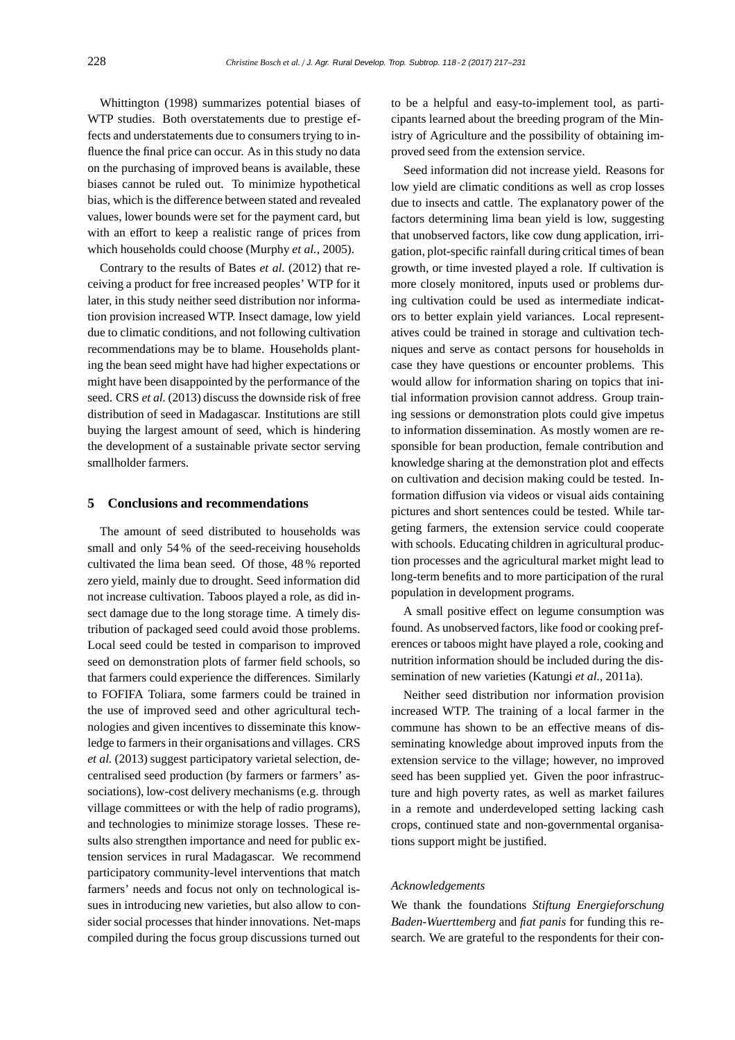Whittington (1998) summarizes potential biases of WTP studies. Both overstatements due to prestige effects and understatements due to consumers trying to influence the final price can occur. As in this study no data on the purchasing of improved beans is available, these biases cannot be ruled out. To minimize hypothetical bias, which is the difference between stated and revealed values, lower bounds were set for the payment card, but with an effort to keep a realistic range of prices from which households could choose (Murphy *et al.*, 2005).

Contrary to the results of Bates *et al.* (2012) that receiving a product for free increased peoples' WTP for it later, in this study neither seed distribution nor information provision increased WTP. Insect damage, low yield due to climatic conditions, and not following cultivation recommendations may be to blame. Households planting the bean seed might have had higher expectations or might have been disappointed by the performance of the seed. CRS *et al.* (2013) discuss the downside risk of free distribution of seed in Madagascar. Institutions are still buying the largest amount of seed, which is hindering the development of a sustainable private sector serving smallholder farmers.

## **5 Conclusions and recommendations**

The amount of seed distributed to households was small and only 54 % of the seed-receiving households cultivated the lima bean seed. Of those, 48 % reported zero yield, mainly due to drought. Seed information did not increase cultivation. Taboos played a role, as did insect damage due to the long storage time. A timely distribution of packaged seed could avoid those problems. Local seed could be tested in comparison to improved seed on demonstration plots of farmer field schools, so that farmers could experience the differences. Similarly to FOFIFA Toliara, some farmers could be trained in the use of improved seed and other agricultural technologies and given incentives to disseminate this knowledge to farmers in their organisations and villages. CRS *et al.* (2013) suggest participatory varietal selection, decentralised seed production (by farmers or farmers' associations), low-cost delivery mechanisms (e.g. through village committees or with the help of radio programs), and technologies to minimize storage losses. These results also strengthen importance and need for public extension services in rural Madagascar. We recommend participatory community-level interventions that match farmers' needs and focus not only on technological issues in introducing new varieties, but also allow to consider social processes that hinder innovations. Net-maps compiled during the focus group discussions turned out

to be a helpful and easy-to-implement tool, as participants learned about the breeding program of the Ministry of Agriculture and the possibility of obtaining improved seed from the extension service.

Seed information did not increase yield. Reasons for low yield are climatic conditions as well as crop losses due to insects and cattle. The explanatory power of the factors determining lima bean yield is low, suggesting that unobserved factors, like cow dung application, irrigation, plot-specific rainfall during critical times of bean growth, or time invested played a role. If cultivation is more closely monitored, inputs used or problems during cultivation could be used as intermediate indicators to better explain yield variances. Local representatives could be trained in storage and cultivation techniques and serve as contact persons for households in case they have questions or encounter problems. This would allow for information sharing on topics that initial information provision cannot address. Group training sessions or demonstration plots could give impetus to information dissemination. As mostly women are responsible for bean production, female contribution and knowledge sharing at the demonstration plot and effects on cultivation and decision making could be tested. Information diffusion via videos or visual aids containing pictures and short sentences could be tested. While targeting farmers, the extension service could cooperate with schools. Educating children in agricultural production processes and the agricultural market might lead to long-term benefits and to more participation of the rural population in development programs.

A small positive effect on legume consumption was found. As unobserved factors, like food or cooking preferences or taboos might have played a role, cooking and nutrition information should be included during the dissemination of new varieties (Katungi *et al.*, 2011a).

Neither seed distribution nor information provision increased WTP. The training of a local farmer in the commune has shown to be an effective means of disseminating knowledge about improved inputs from the extension service to the village; however, no improved seed has been supplied yet. Given the poor infrastructure and high poverty rates, as well as market failures in a remote and underdeveloped setting lacking cash crops, continued state and non-governmental organisations support might be justified.

### *Acknowledgements*

We thank the foundations *Stiftung Energieforschung Baden-Wuerttemberg* and *fiat panis* for funding this research. We are grateful to the respondents for their con-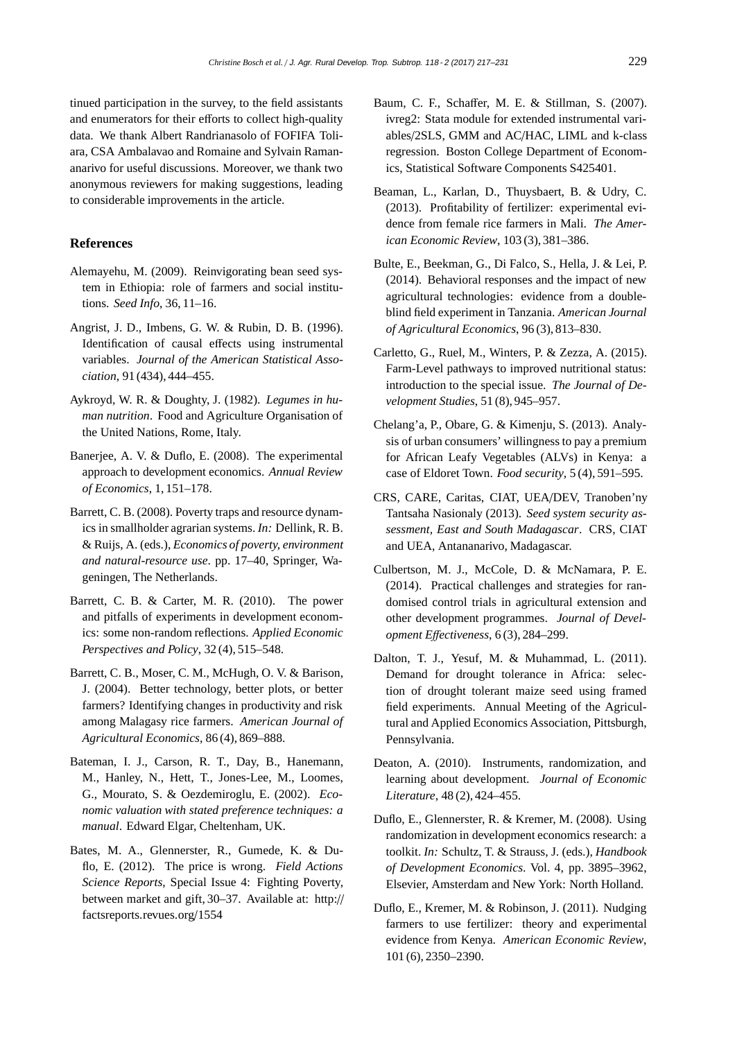tinued participation in the survey, to the field assistants and enumerators for their efforts to collect high-quality data. We thank Albert Randrianasolo of FOFIFA Toliara, CSA Ambalavao and Romaine and Sylvain Ramananarivo for useful discussions. Moreover, we thank two anonymous reviewers for making suggestions, leading to considerable improvements in the article.

## **References**

- Alemayehu, M. (2009). Reinvigorating bean seed system in Ethiopia: role of farmers and social institutions. *Seed Info*, 36, 11–16.
- Angrist, J. D., Imbens, G. W. & Rubin, D. B. (1996). Identification of causal effects using instrumental variables. *Journal of the American Statistical Association*, 91 (434), 444–455.
- Aykroyd, W. R. & Doughty, J. (1982). *Legumes in human nutrition*. Food and Agriculture Organisation of the United Nations, Rome, Italy.
- Banerjee, A. V. & Duflo, E. (2008). The experimental approach to development economics. *Annual Review of Economics*, 1, 151–178.
- Barrett, C. B. (2008). Poverty traps and resource dynamics in smallholder agrarian systems. *In:* Dellink, R. B. & Ruijs, A. (eds.), *Economics of poverty, environment and natural-resource use*. pp. 17–40, Springer, Wageningen, The Netherlands.
- Barrett, C. B. & Carter, M. R. (2010). The power and pitfalls of experiments in development economics: some non-random reflections. *Applied Economic Perspectives and Policy*, 32 (4), 515–548.
- Barrett, C. B., Moser, C. M., McHugh, O. V. & Barison, J. (2004). Better technology, better plots, or better farmers? Identifying changes in productivity and risk among Malagasy rice farmers. *American Journal of Agricultural Economics*, 86 (4), 869–888.
- Bateman, I. J., Carson, R. T., Day, B., Hanemann, M., Hanley, N., Hett, T., Jones-Lee, M., Loomes, G., Mourato, S. & Oezdemiroglu, E. (2002). *Economic valuation with stated preference techniques: a manual*. Edward Elgar, Cheltenham, UK.
- Bates, M. A., Glennerster, R., Gumede, K. & Duflo, E. (2012). The price is wrong. *Field Actions Science Reports*, Special Issue 4: Fighting Poverty, between market and gift, 30–37. Available at: http:// factsreports.revues.org/1554
- Baum, C. F., Schaffer, M. E. & Stillman, S. (2007). ivreg2: Stata module for extended instrumental variables/2SLS, GMM and AC/HAC, LIML and k-class regression. Boston College Department of Economics, Statistical Software Components S425401.
- Beaman, L., Karlan, D., Thuysbaert, B. & Udry, C. (2013). Profitability of fertilizer: experimental evidence from female rice farmers in Mali. *The American Economic Review*, 103 (3), 381–386.
- Bulte, E., Beekman, G., Di Falco, S., Hella, J. & Lei, P. (2014). Behavioral responses and the impact of new agricultural technologies: evidence from a doubleblind field experiment in Tanzania. *American Journal of Agricultural Economics*, 96 (3), 813–830.
- Carletto, G., Ruel, M., Winters, P. & Zezza, A. (2015). Farm-Level pathways to improved nutritional status: introduction to the special issue. *The Journal of Development Studies*, 51 (8), 945–957.
- Chelang'a, P., Obare, G. & Kimenju, S. (2013). Analysis of urban consumers' willingness to pay a premium for African Leafy Vegetables (ALVs) in Kenya: a case of Eldoret Town. *Food security*, 5 (4), 591–595.
- CRS, CARE, Caritas, CIAT, UEA/DEV, Tranoben'ny Tantsaha Nasionaly (2013). *Seed system security assessment, East and South Madagascar*. CRS, CIAT and UEA, Antananarivo, Madagascar.
- Culbertson, M. J., McCole, D. & McNamara, P. E. (2014). Practical challenges and strategies for randomised control trials in agricultural extension and other development programmes. *Journal of Development E*ff*ectiveness*, 6 (3), 284–299.
- Dalton, T. J., Yesuf, M. & Muhammad, L. (2011). Demand for drought tolerance in Africa: selection of drought tolerant maize seed using framed field experiments. Annual Meeting of the Agricultural and Applied Economics Association, Pittsburgh, Pennsylvania.
- Deaton, A. (2010). Instruments, randomization, and learning about development. *Journal of Economic Literature*, 48 (2), 424–455.
- Duflo, E., Glennerster, R. & Kremer, M. (2008). Using randomization in development economics research: a toolkit. *In:* Schultz, T. & Strauss, J. (eds.), *Handbook of Development Economics*. Vol. 4, pp. 3895–3962, Elsevier, Amsterdam and New York: North Holland.
- Duflo, E., Kremer, M. & Robinson, J. (2011). Nudging farmers to use fertilizer: theory and experimental evidence from Kenya. *American Economic Review*, 101 (6), 2350–2390.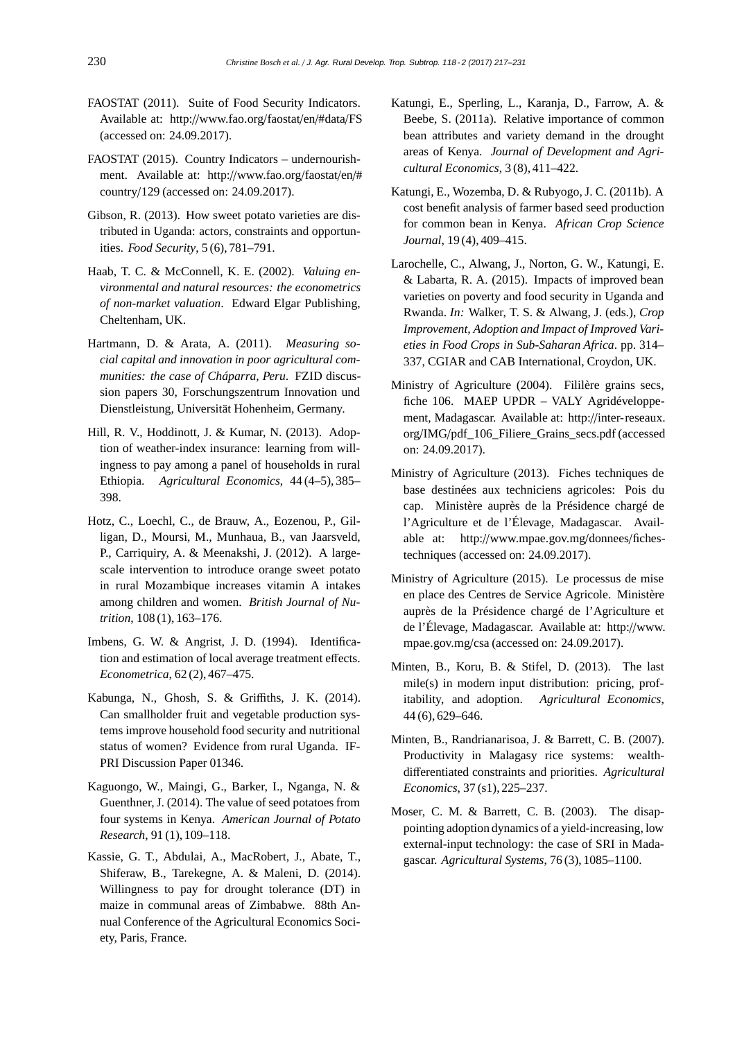- FAOSTAT (2011). Suite of Food Security Indicators. Available at: http://www.fao.org/faostat/en/#data/FS (accessed on: 24.09.2017).
- FAOSTAT (2015). Country Indicators undernourishment. Available at: http://www.fao.org/faostat/en/# country/129 (accessed on: 24.09.2017).
- Gibson, R. (2013). How sweet potato varieties are distributed in Uganda: actors, constraints and opportunities. *Food Security*, 5 (6), 781–791.
- Haab, T. C. & McConnell, K. E. (2002). *Valuing environmental and natural resources: the econometrics of non-market valuation*. Edward Elgar Publishing, Cheltenham, UK.
- Hartmann, D. & Arata, A. (2011). *Measuring social capital and innovation in poor agricultural communities: the case of Cháparra, Peru*. FZID discussion papers 30, Forschungszentrum Innovation und Dienstleistung, Universität Hohenheim, Germany.
- Hill, R. V., Hoddinott, J. & Kumar, N. (2013). Adoption of weather-index insurance: learning from willingness to pay among a panel of households in rural Ethiopia. *Agricultural Economics*, 44 (4–5), 385– 398.
- Hotz, C., Loechl, C., de Brauw, A., Eozenou, P., Gilligan, D., Moursi, M., Munhaua, B., van Jaarsveld, P., Carriquiry, A. & Meenakshi, J. (2012). A largescale intervention to introduce orange sweet potato in rural Mozambique increases vitamin A intakes among children and women. *British Journal of Nutrition*, 108 (1), 163–176.
- Imbens, G. W. & Angrist, J. D. (1994). Identification and estimation of local average treatment effects. *Econometrica*, 62 (2), 467–475.
- Kabunga, N., Ghosh, S. & Griffiths, J. K. (2014). Can smallholder fruit and vegetable production systems improve household food security and nutritional status of women? Evidence from rural Uganda. IF-PRI Discussion Paper 01346.
- Kaguongo, W., Maingi, G., Barker, I., Nganga, N. & Guenthner, J. (2014). The value of seed potatoes from four systems in Kenya. *American Journal of Potato Research*, 91 (1), 109–118.
- Kassie, G. T., Abdulai, A., MacRobert, J., Abate, T., Shiferaw, B., Tarekegne, A. & Maleni, D. (2014). Willingness to pay for drought tolerance (DT) in maize in communal areas of Zimbabwe. 88th Annual Conference of the Agricultural Economics Society, Paris, France.
- Katungi, E., Sperling, L., Karanja, D., Farrow, A. & Beebe, S. (2011a). Relative importance of common bean attributes and variety demand in the drought areas of Kenya. *Journal of Development and Agricultural Economics*, 3 (8), 411–422.
- Katungi, E., Wozemba, D. & Rubyogo, J. C. (2011b). A cost benefit analysis of farmer based seed production for common bean in Kenya. *African Crop Science Journal*, 19 (4), 409–415.
- Larochelle, C., Alwang, J., Norton, G. W., Katungi, E. & Labarta, R. A. (2015). Impacts of improved bean varieties on poverty and food security in Uganda and Rwanda. *In:* Walker, T. S. & Alwang, J. (eds.), *Crop Improvement, Adoption and Impact of Improved Varieties in Food Crops in Sub-Saharan Africa*. pp. 314– 337, CGIAR and CAB International, Croydon, UK.
- Ministry of Agriculture (2004). Fililère grains secs, fiche 106. MAEP UPDR – VALY Agridéveloppement, Madagascar. Available at: http://inter-reseaux. org/IMG/pdf\_106\_Filiere\_Grains\_secs.pdf (accessed on: 24.09.2017).
- Ministry of Agriculture (2013). Fiches techniques de base destinées aux techniciens agricoles: Pois du cap. Ministère auprès de la Présidence chargé de l'Agriculture et de l'Élevage, Madagascar. Available at: http://www.mpae.gov.mg/donnees/fichestechniques (accessed on: 24.09.2017).
- Ministry of Agriculture (2015). Le processus de mise en place des Centres de Service Agricole. Ministère auprès de la Présidence chargé de l'Agriculture et de l'Élevage, Madagascar. Available at: http://www. mpae.gov.mg/csa (accessed on: 24.09.2017).
- Minten, B., Koru, B. & Stifel, D. (2013). The last mile(s) in modern input distribution: pricing, profitability, and adoption. *Agricultural Economics*, 44 (6), 629–646.
- Minten, B., Randrianarisoa, J. & Barrett, C. B. (2007). Productivity in Malagasy rice systems: wealthdifferentiated constraints and priorities. *Agricultural Economics*, 37 (s1), 225–237.
- Moser, C. M. & Barrett, C. B. (2003). The disappointing adoption dynamics of a yield-increasing, low external-input technology: the case of SRI in Madagascar. *Agricultural Systems*, 76 (3), 1085–1100.